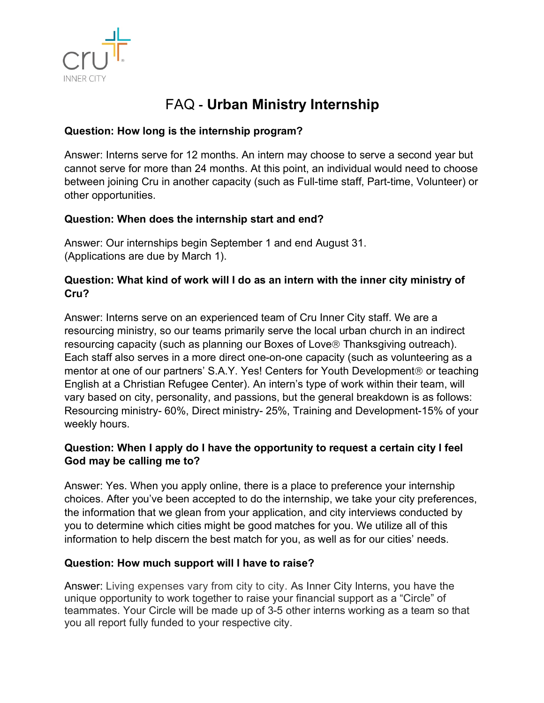

# FAQ **- Urban Ministry Internship**

# **Question: How long is the internship program?**

Answer: Interns serve for 12 months. An intern may choose to serve a second year but cannot serve for more than 24 months. At this point, an individual would need to choose between joining Cru in another capacity (such as Full-time staff, Part-time, Volunteer) or other opportunities.

## **Question: When does the internship start and end?**

Answer: Our internships begin September 1 and end August 31. (Applications are due by March 1).

# **Question: What kind of work will I do as an intern with the inner city ministry of Cru?**

Answer: Interns serve on an experienced team of Cru Inner City staff. We are a resourcing ministry, so our teams primarily serve the local urban church in an indirect resourcing capacity (such as planning our Boxes of Love® Thanksgiving outreach). Each staff also serves in a more direct one-on-one capacity (such as volunteering as a mentor at one of our partners' S.A.Y. Yes! Centers for Youth Development<sup>®</sup> or teaching English at a Christian Refugee Center). An intern's type of work within their team, will vary based on city, personality, and passions, but the general breakdown is as follows: Resourcing ministry- 60%, Direct ministry- 25%, Training and Development-15% of your weekly hours.

## **Question: When I apply do I have the opportunity to request a certain city I feel God may be calling me to?**

Answer: Yes. When you apply online, there is a place to preference your internship choices. After you've been accepted to do the internship, we take your city preferences, the information that we glean from your application, and city interviews conducted by you to determine which cities might be good matches for you. We utilize all of this information to help discern the best match for you, as well as for our cities' needs.

## **Question: How much support will I have to raise?**

Answer: Living expenses vary from city to city. As Inner City Interns, you have the unique opportunity to work together to raise your financial support as a "Circle" of teammates. Your Circle will be made up of 3-5 other interns working as a team so that you all report fully funded to your respective city.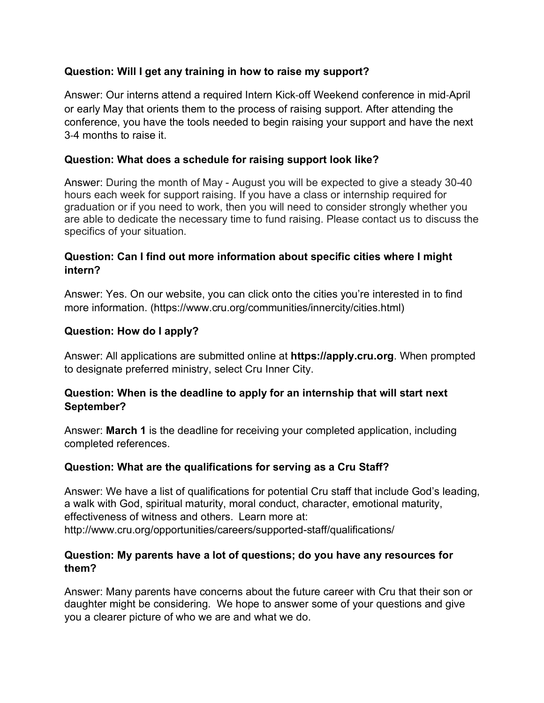## **Question: Will I get any training in how to raise my support?**

Answer: Our interns attend a required Intern Kick-off Weekend conference in mid-April or early May that orients them to the process of raising support. After attending the conference, you have the tools needed to begin raising your support and have the next 3-4 months to raise it.

#### **Question: What does a schedule for raising support look like?**

Answer: During the month of May - August you will be expected to give a steady 30-40 hours each week for support raising. If you have a class or internship required for graduation or if you need to work, then you will need to consider strongly whether you are able to dedicate the necessary time to fund raising. Please contact us to discuss the specifics of your situation.

## **Question: Can I find out more information about specific cities where I might intern?**

Answer: Yes. On our website, you can click onto the cities you're interested in to find more information. (https://www.cru.org/communities/innercity/cities.html)

## **Question: How do I apply?**

Answer: All applications are submitted online at **https://apply.cru.org**. When prompted to designate preferred ministry, select Cru Inner City.

## **Question: When is the deadline to apply for an internship that will start next September?**

Answer: **March 1** is the deadline for receiving your completed application, including completed references.

## **Question: What are the qualifications for serving as a Cru Staff?**

Answer: We have a list of qualifications for potential Cru staff that include God's leading, a walk with God, spiritual maturity, moral conduct, character, emotional maturity, effectiveness of witness and others. Learn more at: http://www.cru.org/opportunities/careers/supported-staff/qualifications/

## **Question: My parents have a lot of questions; do you have any resources for them?**

Answer: Many parents have concerns about the future career with Cru that their son or daughter might be considering. We hope to answer some of your questions and give you a clearer picture of who we are and what we do.